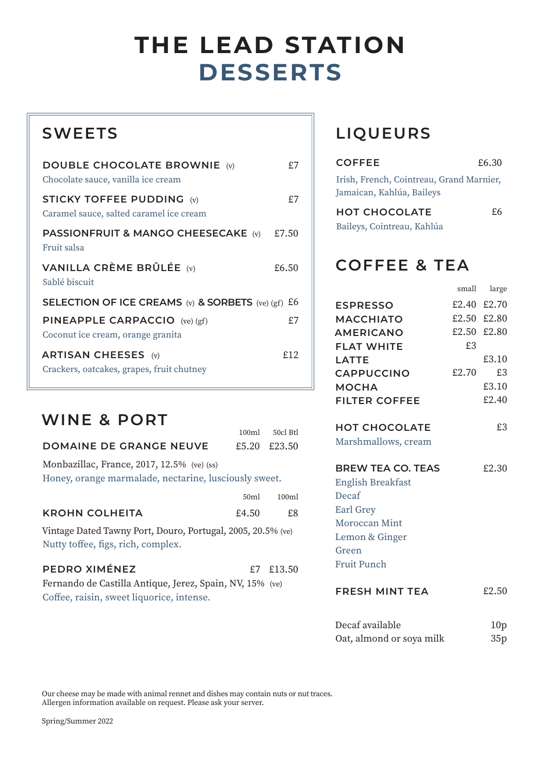# **DESSERTS THE LEAD STATION**

### **SWEETS**

| <b>DOUBLE CHOCOLATE BROWNIE</b> (v)<br>Chocolate sauce, vanilla ice cream   | £7    |
|-----------------------------------------------------------------------------|-------|
| <b>STICKY TOFFEE PUDDING (v)</b><br>Caramel sauce, salted caramel ice cream | £7    |
| PASSIONFRUIT & MANGO CHEESECAKE (v)<br>Fruit salsa                          | £7.50 |
| VANILLA CRÈME BRÛLÉE $(v)$<br>Sablé biscuit                                 | £6.50 |
| SELECTION OF ICE CREAMS (v) & SORBETS (ve) (gf) $E6$                        |       |
| <b>PINEAPPLE CARPACCIO</b> (ve) (gf)<br>Coconut ice cream, orange granita   | £7    |
| <b>ARTISAN CHEESES</b> (v)<br>Crackers, oatcakes, grapes, fruit chutney     | £12   |

#### **WINE & PORT**

|   | 100 <sub>ml</sub> | 50cl Btl |
|---|-------------------|----------|
| Έ | £5.20             | £23.50   |

**DOMAINE DE GRANGE NEUV** Monbazillac, France, 2017, 12.5% (ve) (ss)

Honey, orange marmalade, nectarine, lusciously sweet.

|                       | 50ml  | 100 <sub>m</sub> |
|-----------------------|-------|------------------|
| <b>KROHN COLHEITA</b> | £4.50 | £8               |

Vintage Dated Tawny Port, Douro, Portugal, 2005, 20.5% (ve) Nutty toffee, figs, rich, complex.

| PEDRO XIMÉNEZ                                            | £7 £13.50 |
|----------------------------------------------------------|-----------|
| Fernando de Castilla Antique, Jerez, Spain, NV, 15% (ve) |           |
| Coffee, raisin, sweet liquorice, intense.                |           |

## **LIQUEURS**

| <b>COFFEE</b>                                                         | £6.30 |
|-----------------------------------------------------------------------|-------|
| Irish, French, Cointreau, Grand Marnier,<br>Jamaican, Kahlúa, Baileys |       |
| <b>HOT CHOCOLATE</b><br>Baileys, Cointreau, Kahlúa                    | £6    |

small large

#### **COFFEE & TEA**

|                          |             | эппан нагдс |
|--------------------------|-------------|-------------|
| <b>ESPRESSO</b>          |             | £2.40 £2.70 |
| <b>MACCHIATO</b>         | £2.50 £2.80 |             |
| <b>AMERICANO</b>         |             | £2.50 £2.80 |
| <b>FLAT WHITE</b>        | £3          |             |
| LATTE                    |             | £3.10       |
| <b>CAPPUCCINO</b>        | £2.70       | £3          |
| <b>MOCHA</b>             |             | £3.10       |
| <b>FILTER COFFEE</b>     |             | £2.40       |
|                          |             |             |
| <b>HOT CHOCOLATE</b>     |             | £3          |
| Marshmallows, cream      |             |             |
|                          |             |             |
| <b>BREW TEA CO. TEAS</b> |             | £2.30       |
| <b>English Breakfast</b> |             |             |
| Decaf                    |             |             |
| Earl Grey                |             |             |
| Moroccan Mint            |             |             |
| Lemon & Ginger           |             |             |
| Green                    |             |             |
| Fruit Punch              |             |             |
|                          |             |             |

#### **FRESH MINT TEA** £2.50

| Decaf available          | 10 <sub>p</sub> |
|--------------------------|-----------------|
| Oat, almond or soya milk | 35p             |

Our cheese may be made with animal rennet and dishes may contain nuts or nut traces. Allergen information available on request. Please ask your server.